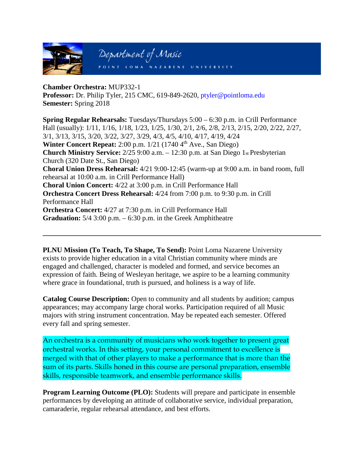

**Chamber Orchestra:** MUP332-1 **Professor:** Dr. Philip Tyler, 215 CMC, 619-849-2620, ptyler@pointloma.edu **Semester:** Spring 2018

**Spring Regular Rehearsals:** Tuesdays/Thursdays 5:00 – 6:30 p.m. in Crill Performance Hall (usually): 1/11, 1/16, 1/18, 1/23, 1/25, 1/30, 2/1, 2/6, 2/8, 2/13, 2/15, 2/20, 2/22, 2/27, 3/1, 3/13, 3/15, 3/20, 3/22, 3/27, 3/29, 4/3, 4/5, 4/10, 4/17, 4/19, 4/24 **Winter Concert Repeat:** 2:00 p.m. 1/21 (1740 4<sup>th</sup> Ave., San Diego) **Church Ministry Service:** 2/25 9:00 a.m. – 12:30 p.m. at San Diego 1st Presbyterian Church (320 Date St., San Diego) **Choral Union Dress Rehearsal:** 4/21 9:00-12:45 (warm-up at 9:00 a.m. in band room, full rehearsal at 10:00 a.m. in Crill Performance Hall) **Choral Union Concert:** 4/22 at 3:00 p.m. in Crill Performance Hall **Orchestra Concert Dress Rehearsal:** 4/24 from 7:00 p.m. to 9:30 p.m. in Crill Performance Hall **Orchestra Concert:** 4/27 at 7:30 p.m. in Crill Performance Hall **Graduation:** 5/4 3:00 p.m. – 6:30 p.m. in the Greek Amphitheatre

**PLNU Mission (To Teach, To Shape, To Send):** Point Loma Nazarene University exists to provide higher education in a vital Christian community where minds are engaged and challenged, character is modeled and formed, and service becomes an expression of faith. Being of Wesleyan heritage, we aspire to be a learning community where grace in foundational, truth is pursued, and holiness is a way of life.

**Catalog Course Description:** Open to community and all students by audition; campus appearances; may accompany large choral works. Participation required of all Music majors with string instrument concentration. May be repeated each semester. Offered every fall and spring semester.

An orchestra is a community of musicians who work together to present great orchestral works. In this setting, your personal commitment to excellence is merged with that of other players to make a performance that is more than the sum of its parts. Skills honed in this course are personal preparation, ensemble skills, responsible teamwork, and ensemble performance skills.

**Program Learning Outcome (PLO):** Students will prepare and participate in ensemble performances by developing an attitude of collaborative service, individual preparation, camaraderie, regular rehearsal attendance, and best efforts.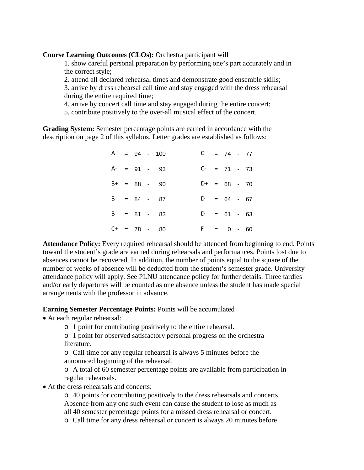**Course Learning Outcomes (CLOs):** Orchestra participant will

1. show careful personal preparation by performing one's part accurately and in the correct style;

2. attend all declared rehearsal times and demonstrate good ensemble skills;

3. arrive by dress rehearsal call time and stay engaged with the dress rehearsal during the entire required time;

4. arrive by concert call time and stay engaged during the entire concert;

5. contribute positively to the over-all musical effect of the concert.

**Grading System:** Semester percentage points are earned in accordance with the description on page 2 of this syllabus. Letter grades are established as follows:

|  |              | $A = 94 - 100$  |    | $= 74 - 77$    |  |
|--|--------------|-----------------|----|----------------|--|
|  | $A - = 91 -$ | 93              |    | $C- = 71 - 73$ |  |
|  | $B+ = 88 -$  | -90             |    | $D+ = 68 - 70$ |  |
|  |              | $B = 84 - 87$   |    | $D = 64 - 67$  |  |
|  |              | $B - = 81 - 83$ |    | $D- = 61 - 63$ |  |
|  | $C+ = 78 -$  | -80             | F. | $= 0 - 60$     |  |

**Attendance Policy:** Every required rehearsal should be attended from beginning to end. Points toward the student's grade are earned during rehearsals and performances. Points lost due to absences cannot be recovered. In addition, the number of points equal to the square of the number of weeks of absence will be deducted from the student's semester grade. University attendance policy will apply. See PLNU attendance policy for further details. Three tardies and/or early departures will be counted as one absence unless the student has made special arrangements with the professor in advance.

**Earning Semester Percentage Points:** Points will be accumulated

• At each regular rehearsal:

o 1 point for contributing positively to the entire rehearsal.

o 1 point for observed satisfactory personal progress on the orchestra literature.

o Call time for any regular rehearsal is always 5 minutes before the announced beginning of the rehearsal.

o A total of 60 semester percentage points are available from participation in regular rehearsals.

• At the dress rehearsals and concerts:

o 40 points for contributing positively to the dress rehearsals and concerts. Absence from any one such event can cause the student to lose as much as all 40 semester percentage points for a missed dress rehearsal or concert.

o Call time for any dress rehearsal or concert is always 20 minutes before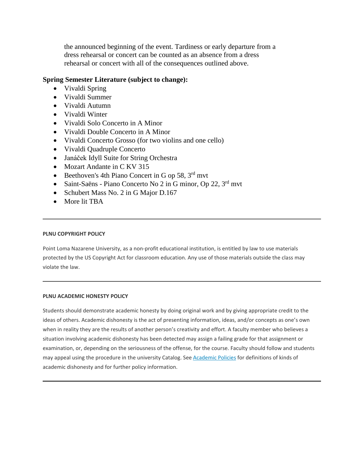the announced beginning of the event. Tardiness or early departure from a dress rehearsal or concert can be counted as an absence from a dress rehearsal or concert with all of the consequences outlined above.

## **Spring Semester Literature (subject to change):**

- Vivaldi Spring
- Vivaldi Summer
- Vivaldi Autumn
- Vivaldi Winter
- Vivaldi Solo Concerto in A Minor
- Vivaldi Double Concerto in A Minor
- Vivaldi Concerto Grosso (for two violins and one cello)
- Vivaldi Quadruple Concerto
- Janáček Idyll Suite for String Orchestra
- Mozart Andante in C KV 315
- Beethoven's 4th Piano Concert in G op 58,  $3<sup>rd</sup>$  mvt
- Saint-Saëns Piano Concerto No 2 in G minor, Op 22,  $3<sup>rd</sup>$  mvt
- Schubert Mass No. 2 in G Major D.167
- More lit TBA

### **PLNU COPYRIGHT POLICY**

Point Loma Nazarene University, as a non-profit educational institution, is entitled by law to use materials protected by the US Copyright Act for classroom education. Any use of those materials outside the class may violate the law.

#### **PLNU ACADEMIC HONESTY POLICY**

Students should demonstrate academic honesty by doing original work and by giving appropriate credit to the ideas of others. Academic dishonesty is the act of presenting information, ideas, and/or concepts as one's own when in reality they are the results of another person's creativity and effort. A faculty member who believes a situation involving academic dishonesty has been detected may assign a failing grade for that assignment or examination, or, depending on the seriousness of the offense, for the course. Faculty should follow and students may appeal using the procedure in the university Catalog. See [Academic Policies](http://catalog.pointloma.edu/content.php?catoid=18&navoid=1278) for definitions of kinds of academic dishonesty and for further policy information.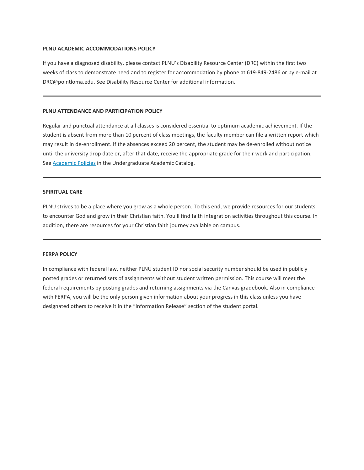#### **PLNU ACADEMIC ACCOMMODATIONS POLICY**

If you have a diagnosed disability, please contact PLNU's Disability Resource Center (DRC) within the first two weeks of class to demonstrate need and to register for accommodation by phone at 619-849-2486 or by e-mail at DRC@pointloma.edu. See Disability Resource Center for additional information.

#### **PLNU ATTENDANCE AND PARTICIPATION POLICY**

Regular and punctual attendance at all classes is considered essential to optimum academic achievement. If the student is absent from more than 10 percent of class meetings, the faculty member can file a written report which may result in de-enrollment. If the absences exceed 20 percent, the student may be de-enrolled without notice until the university drop date or, after that date, receive the appropriate grade for their work and participation. See [Academic Policies](http://catalog.pointloma.edu/content.php?catoid=18&navoid=1278) in the Undergraduate Academic Catalog.

#### **SPIRITUAL CARE**

PLNU strives to be a place where you grow as a whole person. To this end, we provide resources for our students to encounter God and grow in their Christian faith. You'll find faith integration activities throughout this course. In addition, there are resources for your Christian faith journey available on campus.

#### **FERPA POLICY**

In compliance with federal law, neither PLNU student ID nor social security number should be used in publicly posted grades or returned sets of assignments without student written permission. This course will meet the federal requirements by posting grades and returning assignments via the Canvas gradebook. Also in compliance with FERPA, you will be the only person given information about your progress in this class unless you have designated others to receive it in the "Information Release" section of the student portal.